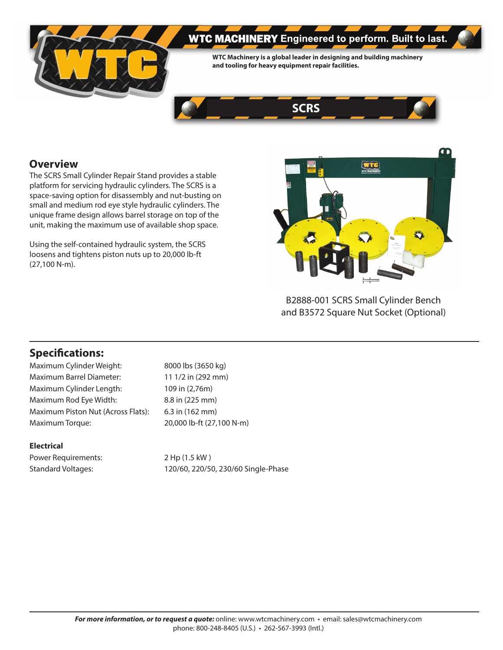

# **WTC MACHINERY** Engineered to perform. Built to last.

**WTC Machinery is a global leader in designing and building machinery and tooling for heavy equipment repair facilities.**



## **Overview**

The SCRS Small Cylinder Repair Stand provides a stable platform for servicing hydraulic cylinders. The SCRS is a space-saving option for disassembly and nut-busting on small and medium rod eye style hydraulic cylinders. The unique frame design allows barrel storage on top of the unit, making the maximum use of available shop space.

Using the self-contained hydraulic system, the SCRS loosens and tightens piston nuts up to 20,000 lb-ft (27,100 N-m).



B2888-001 SCRS Small Cylinder Bench and B3572 Square Nut Socket (Optional)

## **Specifications:**

Maximum Cylinder Weight: 8000 lbs (3650 kg) Maximum Barrel Diameter: 11 1/2 in (292 mm) Maximum Cylinder Length: 109 in (2,76m) Maximum Rod Eye Width: 8.8 in (225 mm) Maximum Piston Nut (Across Flats): 6.3 in (162 mm) Maximum Torque: 20,000 lb-ft (27,100 N-m)

#### **Electrical**

Power Requirements: 2 Hp (1.5 kW)

Standard Voltages: 120/60, 220/50, 230/60 Single-Phase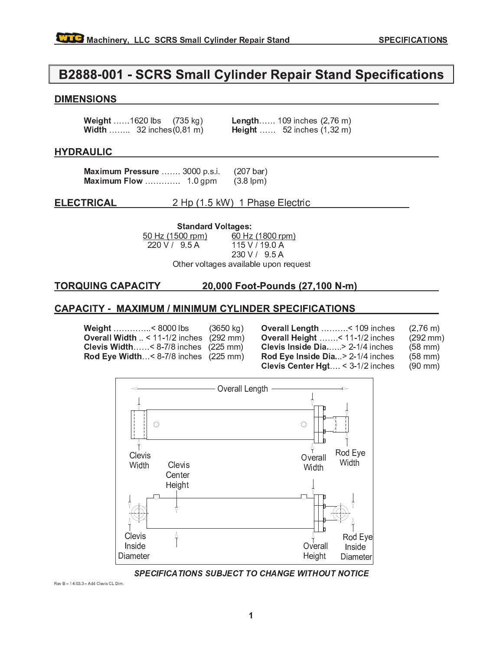## B2888-001 - SCRS Small Cylinder Repair Stand Specifications

### **DIMENSIONS**

| <b>Weight</b> 1620 lbs (735 kg)            |  | <b>Length</b> 109 inches $(2,76 \text{ m})$ |  |
|--------------------------------------------|--|---------------------------------------------|--|
| <b>Width</b> 32 inches $(0, 81 \text{ m})$ |  | <b>Height</b> 52 inches $(1,32 \text{ m})$  |  |

### **HYDRAULIC**

Maximum Pressure ....... 3000 p.s.i.  $(207 \text{ bar})$  $(3.8$  lpm)

#### 2 Hp (1.5 kW) 1 Phase Electric **ELECTRICAL**

**Standard Voltages:** 50 Hz (1500 rpm) 60 Hz (1800 rpm) 220 V / 95 A 115 V / 19.0 A 230 V / 95 A

Other voltages available upon request

#### **TORQUING CAPACITY** 20,000 Foot-Pounds (27,100 N-m)

### **CAPACITY - MAXIMUM / MINIMUM CYLINDER SPECIFICATIONS**

Weight ..............< 8000 lbs  $(3650 \text{ kg})$ Overall Width  $\leq$  11-1/2 inches (292 mm) Clevis Width......<  $8-7/8$  inches (225 mm) Rod Eye Width...<  $8-7/8$  inches (225 mm) Overall Length .........< 109 inches  $(2,76 \text{ m})$ Overall Height ...... < 11-1/2 inches  $(292 \, \text{mm})$ Clevis Inside Dia.... > 2-1/4 inches  $(58$  mm $)$ Rod Eye Inside Dia...> 2-1/4 inches  $(58$  mm)

Clevis Center Hgt... < 3-1/2 inches  $(90 \text{ mm})$ 



SPECIFICATIONS SUBJECT TO CHANGE WITHOUT NOTICE

Rev B - 14.03.3 - Add Clevis CL Dim.